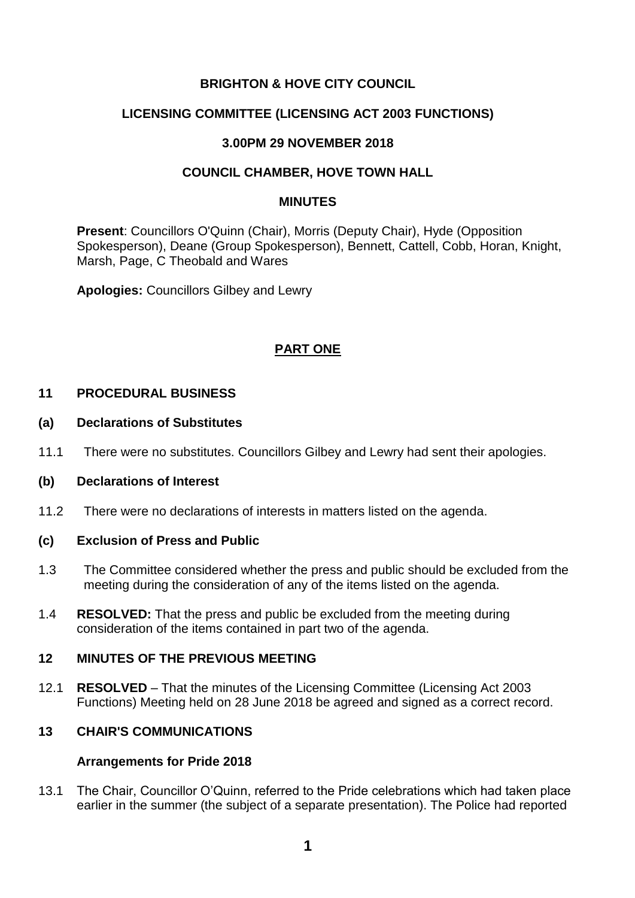# **BRIGHTON & HOVE CITY COUNCIL**

# **LICENSING COMMITTEE (LICENSING ACT 2003 FUNCTIONS)**

### **3.00PM 29 NOVEMBER 2018**

### **COUNCIL CHAMBER, HOVE TOWN HALL**

#### **MINUTES**

**Present**: Councillors O'Quinn (Chair), Morris (Deputy Chair), Hyde (Opposition Spokesperson), Deane (Group Spokesperson), Bennett, Cattell, Cobb, Horan, Knight, Marsh, Page, C Theobald and Wares

**Apologies:** Councillors Gilbey and Lewry

### **PART ONE**

### **11 PROCEDURAL BUSINESS**

#### **(a) Declarations of Substitutes**

11.1 There were no substitutes. Councillors Gilbey and Lewry had sent their apologies.

#### **(b) Declarations of Interest**

11.2 There were no declarations of interests in matters listed on the agenda.

#### **(c) Exclusion of Press and Public**

- 1.3 The Committee considered whether the press and public should be excluded from the meeting during the consideration of any of the items listed on the agenda.
- 1.4 **RESOLVED:** That the press and public be excluded from the meeting during consideration of the items contained in part two of the agenda.

# **12 MINUTES OF THE PREVIOUS MEETING**

12.1 **RESOLVED** – That the minutes of the Licensing Committee (Licensing Act 2003 Functions) Meeting held on 28 June 2018 be agreed and signed as a correct record.

# **13 CHAIR'S COMMUNICATIONS**

#### **Arrangements for Pride 2018**

13.1 The Chair, Councillor O'Quinn, referred to the Pride celebrations which had taken place earlier in the summer (the subject of a separate presentation). The Police had reported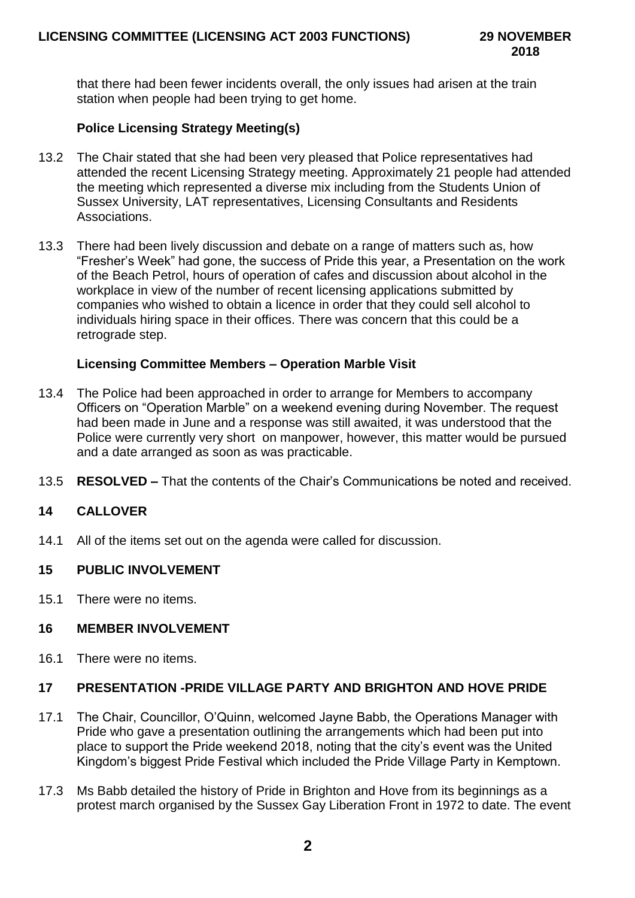that there had been fewer incidents overall, the only issues had arisen at the train station when people had been trying to get home.

# **Police Licensing Strategy Meeting(s)**

- 13.2 The Chair stated that she had been very pleased that Police representatives had attended the recent Licensing Strategy meeting. Approximately 21 people had attended the meeting which represented a diverse mix including from the Students Union of Sussex University, LAT representatives, Licensing Consultants and Residents Associations.
- 13.3 There had been lively discussion and debate on a range of matters such as, how "Fresher's Week" had gone, the success of Pride this year, a Presentation on the work of the Beach Petrol, hours of operation of cafes and discussion about alcohol in the workplace in view of the number of recent licensing applications submitted by companies who wished to obtain a licence in order that they could sell alcohol to individuals hiring space in their offices. There was concern that this could be a retrograde step.

### **Licensing Committee Members – Operation Marble Visit**

- 13.4 The Police had been approached in order to arrange for Members to accompany Officers on "Operation Marble" on a weekend evening during November. The request had been made in June and a response was still awaited, it was understood that the Police were currently very short on manpower, however, this matter would be pursued and a date arranged as soon as was practicable.
- 13.5 **RESOLVED –** That the contents of the Chair's Communications be noted and received.

### **14 CALLOVER**

14.1 All of the items set out on the agenda were called for discussion.

### **15 PUBLIC INVOLVEMENT**

15.1 There were no items.

### **16 MEMBER INVOLVEMENT**

16.1 There were no items.

### **17 PRESENTATION -PRIDE VILLAGE PARTY AND BRIGHTON AND HOVE PRIDE**

- 17.1 The Chair, Councillor, O'Quinn, welcomed Jayne Babb, the Operations Manager with Pride who gave a presentation outlining the arrangements which had been put into place to support the Pride weekend 2018, noting that the city's event was the United Kingdom's biggest Pride Festival which included the Pride Village Party in Kemptown.
- 17.3 Ms Babb detailed the history of Pride in Brighton and Hove from its beginnings as a protest march organised by the Sussex Gay Liberation Front in 1972 to date. The event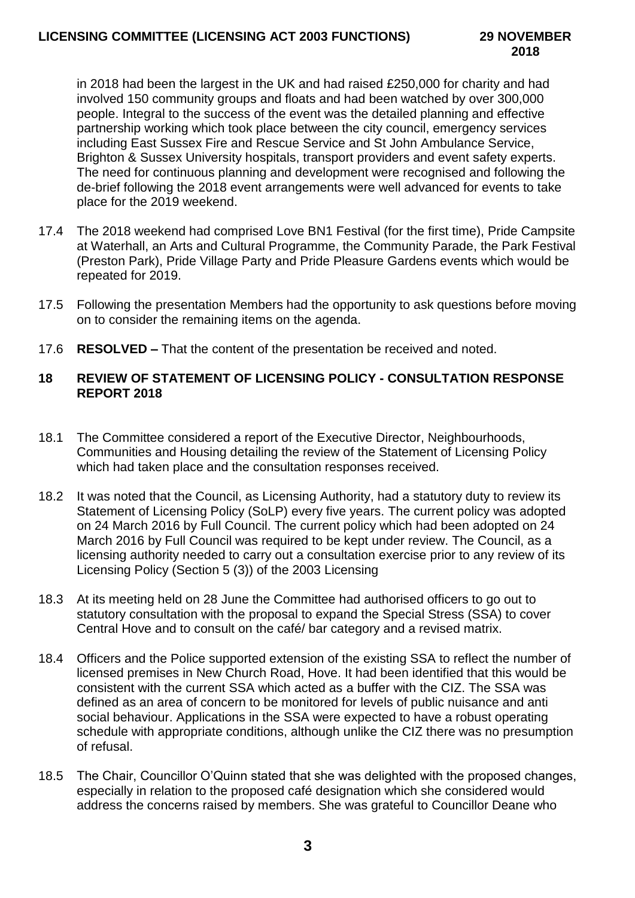in 2018 had been the largest in the UK and had raised £250,000 for charity and had involved 150 community groups and floats and had been watched by over 300,000 people. Integral to the success of the event was the detailed planning and effective partnership working which took place between the city council, emergency services including East Sussex Fire and Rescue Service and St John Ambulance Service, Brighton & Sussex University hospitals, transport providers and event safety experts. The need for continuous planning and development were recognised and following the de-brief following the 2018 event arrangements were well advanced for events to take place for the 2019 weekend.

- 17.4 The 2018 weekend had comprised Love BN1 Festival (for the first time), Pride Campsite at Waterhall, an Arts and Cultural Programme, the Community Parade, the Park Festival (Preston Park), Pride Village Party and Pride Pleasure Gardens events which would be repeated for 2019.
- 17.5 Following the presentation Members had the opportunity to ask questions before moving on to consider the remaining items on the agenda.
- 17.6 **RESOLVED –** That the content of the presentation be received and noted.

### **18 REVIEW OF STATEMENT OF LICENSING POLICY - CONSULTATION RESPONSE REPORT 2018**

- 18.1 The Committee considered a report of the Executive Director, Neighbourhoods, Communities and Housing detailing the review of the Statement of Licensing Policy which had taken place and the consultation responses received.
- 18.2 It was noted that the Council, as Licensing Authority, had a statutory duty to review its Statement of Licensing Policy (SoLP) every five years. The current policy was adopted on 24 March 2016 by Full Council. The current policy which had been adopted on 24 March 2016 by Full Council was required to be kept under review. The Council, as a licensing authority needed to carry out a consultation exercise prior to any review of its Licensing Policy (Section 5 (3)) of the 2003 Licensing
- 18.3 At its meeting held on 28 June the Committee had authorised officers to go out to statutory consultation with the proposal to expand the Special Stress (SSA) to cover Central Hove and to consult on the café/ bar category and a revised matrix.
- 18.4 Officers and the Police supported extension of the existing SSA to reflect the number of licensed premises in New Church Road, Hove. It had been identified that this would be consistent with the current SSA which acted as a buffer with the CIZ. The SSA was defined as an area of concern to be monitored for levels of public nuisance and anti social behaviour. Applications in the SSA were expected to have a robust operating schedule with appropriate conditions, although unlike the CIZ there was no presumption of refusal.
- 18.5 The Chair, Councillor O'Quinn stated that she was delighted with the proposed changes, especially in relation to the proposed café designation which she considered would address the concerns raised by members. She was grateful to Councillor Deane who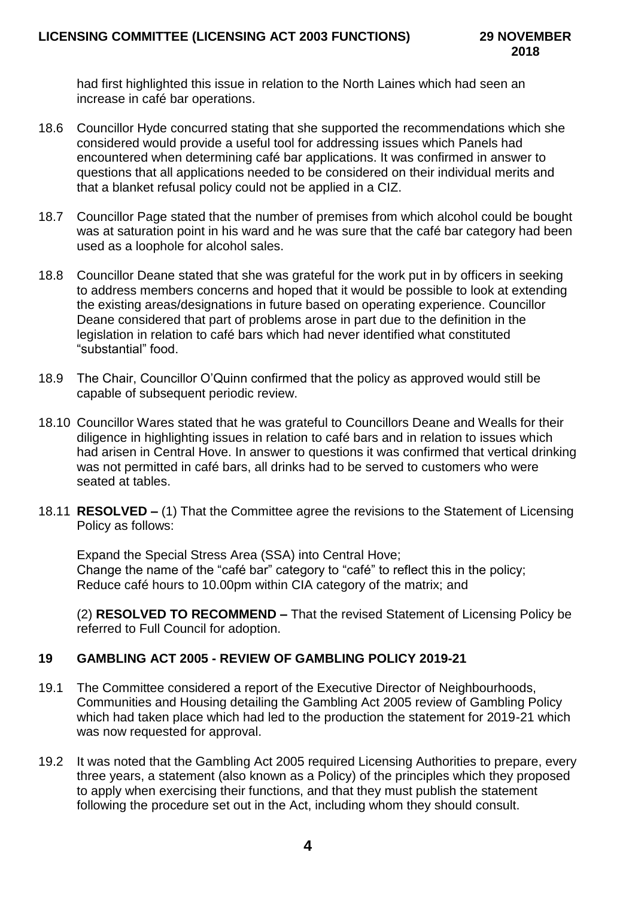had first highlighted this issue in relation to the North Laines which had seen an increase in café bar operations.

- 18.6 Councillor Hyde concurred stating that she supported the recommendations which she considered would provide a useful tool for addressing issues which Panels had encountered when determining café bar applications. It was confirmed in answer to questions that all applications needed to be considered on their individual merits and that a blanket refusal policy could not be applied in a CIZ.
- 18.7 Councillor Page stated that the number of premises from which alcohol could be bought was at saturation point in his ward and he was sure that the café bar category had been used as a loophole for alcohol sales.
- 18.8 Councillor Deane stated that she was grateful for the work put in by officers in seeking to address members concerns and hoped that it would be possible to look at extending the existing areas/designations in future based on operating experience. Councillor Deane considered that part of problems arose in part due to the definition in the legislation in relation to café bars which had never identified what constituted "substantial" food.
- 18.9 The Chair, Councillor O'Quinn confirmed that the policy as approved would still be capable of subsequent periodic review.
- 18.10 Councillor Wares stated that he was grateful to Councillors Deane and Wealls for their diligence in highlighting issues in relation to café bars and in relation to issues which had arisen in Central Hove. In answer to questions it was confirmed that vertical drinking was not permitted in café bars, all drinks had to be served to customers who were seated at tables.
- 18.11 **RESOLVED –** (1) That the Committee agree the revisions to the Statement of Licensing Policy as follows:

Expand the Special Stress Area (SSA) into Central Hove; Change the name of the "café bar" category to "café" to reflect this in the policy; Reduce café hours to 10.00pm within CIA category of the matrix; and

(2) **RESOLVED TO RECOMMEND –** That the revised Statement of Licensing Policy be referred to Full Council for adoption.

## **19 GAMBLING ACT 2005 - REVIEW OF GAMBLING POLICY 2019-21**

- 19.1 The Committee considered a report of the Executive Director of Neighbourhoods, Communities and Housing detailing the Gambling Act 2005 review of Gambling Policy which had taken place which had led to the production the statement for 2019-21 which was now requested for approval.
- 19.2 It was noted that the Gambling Act 2005 required Licensing Authorities to prepare, every three years, a statement (also known as a Policy) of the principles which they proposed to apply when exercising their functions, and that they must publish the statement following the procedure set out in the Act, including whom they should consult.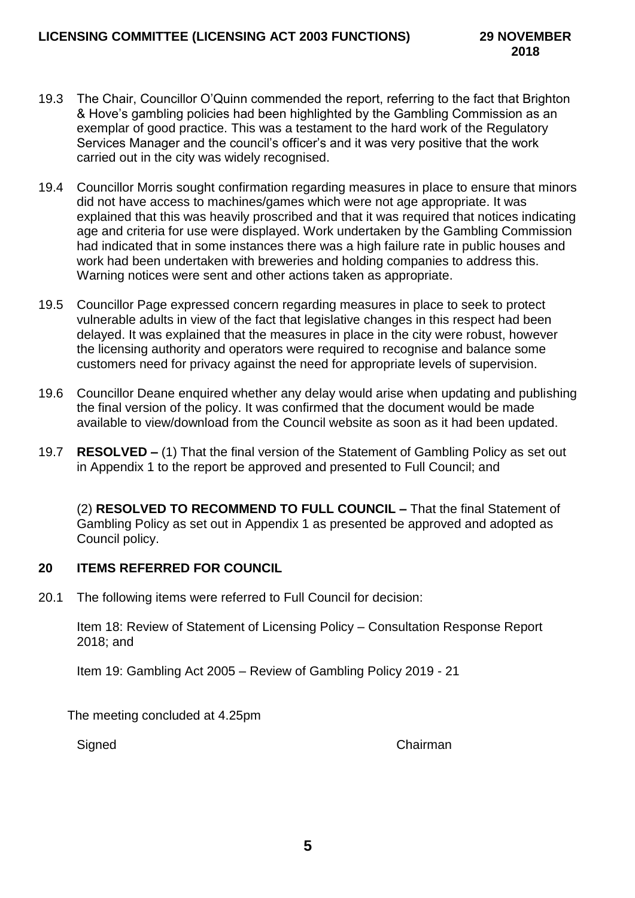- 19.3 The Chair, Councillor O'Quinn commended the report, referring to the fact that Brighton & Hove's gambling policies had been highlighted by the Gambling Commission as an exemplar of good practice. This was a testament to the hard work of the Regulatory Services Manager and the council's officer's and it was very positive that the work carried out in the city was widely recognised.
- 19.4 Councillor Morris sought confirmation regarding measures in place to ensure that minors did not have access to machines/games which were not age appropriate. It was explained that this was heavily proscribed and that it was required that notices indicating age and criteria for use were displayed. Work undertaken by the Gambling Commission had indicated that in some instances there was a high failure rate in public houses and work had been undertaken with breweries and holding companies to address this. Warning notices were sent and other actions taken as appropriate.
- 19.5 Councillor Page expressed concern regarding measures in place to seek to protect vulnerable adults in view of the fact that legislative changes in this respect had been delayed. It was explained that the measures in place in the city were robust, however the licensing authority and operators were required to recognise and balance some customers need for privacy against the need for appropriate levels of supervision.
- 19.6 Councillor Deane enquired whether any delay would arise when updating and publishing the final version of the policy. It was confirmed that the document would be made available to view/download from the Council website as soon as it had been updated.
- 19.7 **RESOLVED –** (1) That the final version of the Statement of Gambling Policy as set out in Appendix 1 to the report be approved and presented to Full Council; and

(2) **RESOLVED TO RECOMMEND TO FULL COUNCIL –** That the final Statement of Gambling Policy as set out in Appendix 1 as presented be approved and adopted as Council policy.

# **20 ITEMS REFERRED FOR COUNCIL**

20.1 The following items were referred to Full Council for decision:

Item 18: Review of Statement of Licensing Policy – Consultation Response Report 2018; and

Item 19: Gambling Act 2005 – Review of Gambling Policy 2019 - 21

The meeting concluded at 4.25pm

Signed Chairman